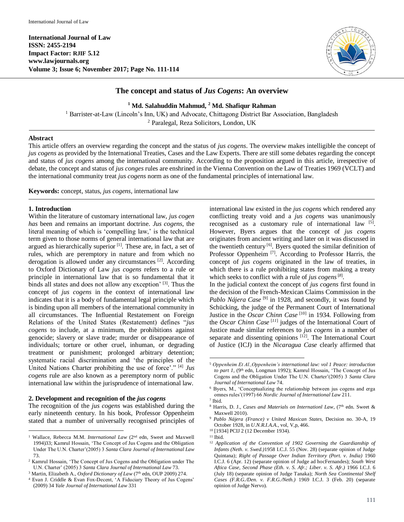

# **The concept and status of** *Jus Cogens***: An overview**

**<sup>1</sup> Md. Salahuddin Mahmud, <sup>2</sup> Md. Shafiqur Rahman**

<sup>1</sup> Barrister-at-Law (Lincoln's Inn, UK) and Advocate, Chittagong District Bar Association, Bangladesh <sup>2</sup> Paralegal, Reza Solicitors, London, UK

### **Abstract**

This article offers an overview regarding the concept and the status of *jus cogens*. The overview makes intelligible the concept of *jus cogens* as provided by the International Treaties, Cases and the Law Experts. There are still some debates regarding the concept and status of *jus cogens* among the international community. According to the proposition argued in this article, irrespective of debate, the concept and status of *jus conges* rules are enshrined in the Vienna Convention on the Law of Treaties 1969 (VCLT) and the international community treat *jus cogens* norm as one of the fundamental principles of international law.

**Keywords:** concept, status, *jus cogens,* international law

### **1. Introduction**

 $\overline{a}$ 

Within the literature of customary international law, *jus cogen has* been and remains an important doctrine. *Jus cogens*, the literal meaning of which is 'compelling law,' is the technical term given to those norms of general international law that are argued as hierarchically superior<sup>[1]</sup>. These are, in fact, a set of rules, which are peremptory in nature and from which no derogation is allowed under any circumstances<sup>[2]</sup>. According to Oxford Dictionary of Law *jus cogens* refers to a rule or principle in international law that is so fundamental that it binds all states and does not allow any exception' [3]. Thus the concept of *jus cogens* in the context of international law indicates that it is a body of fundamental legal principle which is binding upon all members of the international community in all circumstances. The Influential Restatement on Foreign Relations of the United States (Restatement) defines "*jus cogens* to include, at a minimum, the prohibitions against genocide; slavery or slave trade; murder or disappearance of individuals; torture or other cruel, inhuman, or degrading treatment or punishment; prolonged arbitrary detention; systematic racial discrimination and 'the principles of the United Nations Charter prohibiting the use of force'." [4] *Jus cogens* rule are also known as a peremptory norm of public international law within the jurisprudence of international law.

#### **2. Development and recognition of the** *jus cogens*

The recognition of the *jus cogens* was established during the early nineteenth century. In his book, Professor Oppenheim stated that a number of universally recognised principles of international law existed in the *jus cogens* which rendered any conflicting treaty void and a *jus cogens* was unanimously recognised as a customary rule of international law [5]. However, Byers argues that the concept of *jus cogens* originates from ancient writing and later on it was discussed in the twentieth century<sup>[6]</sup>. Byers quoted the similar definition of Professor Oppenheim<sup>[7]</sup>. According to Professor Harris, the concept of *jus cogens* originated in the law of treaties, in which there is a rule prohibiting states from making a treaty which seeks to conflict with a rule of *jus cogens*[*8*] .

In the judicial context the concept of *jus cogens* first found in the decision of the French-Mexican Claims Commission in the Pablo Nájera Case<sup>[9]</sup> in 1928, and secondly, it was found by Schücking, the judge of the Permanent Court of International Justice in the *Oscar Chinn Case* [10] in 1934. Following from the *Oscar Chinn Case* [*11*] judges of the International Court of Justice made similar references to *jus cogens* in a number of separate and dissenting opinions<sup>[12]</sup>. The International Court of Justice (ICJ) in the *Nicaragua Case* clearly affirmed that

 $\overline{\phantom{a}}$ 

<sup>&</sup>lt;sup>1</sup> Wallace, Rebecca M.M. *International Law* (2<sup>nd</sup> edn, Sweet and Maxwell 1994)33; Kamrul Hossain, 'The Concept of Jus Cogens and the Obligation Under The U.N. Charter'(2005) 3 *Santa Clara Journal of International Law*  73.

<sup>2</sup> Kamrul Hossain, 'The Concept of Jus Cogens and the Obligation under The U.N. Charter' (2005) 3 *Santa Clara Journal of International Law* 73.

<sup>&</sup>lt;sup>3</sup> Martin, Elizabeth A., *Oxford Dictionary of Law* (7<sup>th</sup> edn, OUP 2009) 274.

<sup>4</sup> Evan J. Criddle & Evan Fox-Decent, 'A Fiduciary Theory of Jus Cogens' (2009) 34 *Yale Journal of International Law* 331

<sup>5</sup> *Oppenheim Et Al.,Oppenheim's international law: vol 1 Peace: introduction*  to part 1, (9<sup>th</sup> edn, Longman 1992); Kamrul Hossain, 'The Concept of Jus Cogens and the Obligation Under The U.N. Charter'(2005) 3 *Santa Clara Journal of International Law* 74.

<sup>6</sup> Byers, M., 'Conceptualizing the relationship between jus cogens and erga omnes rules'(1997) 66 *Nordic Journal of International Law* 211.

<sup>7</sup> Ibid.

<sup>&</sup>lt;sup>8</sup> Harris, D. J., *Cases and Materials on Internationl Law*, (7<sup>th</sup> edn. Sweet & Maxwell 2010).

<sup>9</sup> *Pablo Nájera (France) v United Maxican States,* Decision no. 30-A, 19 October 1928, in *U.N.R.I.A.A.*, vol, V,p, 466.

<sup>10</sup> [1934] PCIJ 2 (12 December 1934).

 $11$  Ibid.

<sup>12</sup> *Application of the Convention of 1902 Governing the Guardianship of Infants (Neth. v. Swed.)*1958 I.C.J. 55 (Nov. 28) (separate opinion of Judge Quintana); *Right of Passage Over Indian Territory (Port. v. India)* 1960 I.C.J. 6 (Apr. 12) (separate opinion of Judge ad hocFernandes); *South West Aftica Case, Second Phase (Eth. v. S. Afr.; Liber. v. S. Afr.)* 1966 I.C.J. 6 (July 18) (separate opinion of Judge Tanaka); *North Sea Continental Shelf Cases (F.R.G./Den. v. F.R.G./Neth.)* 1969 I.C.J. 3 (Feb. 20) (separate opinion of Judge Nervo).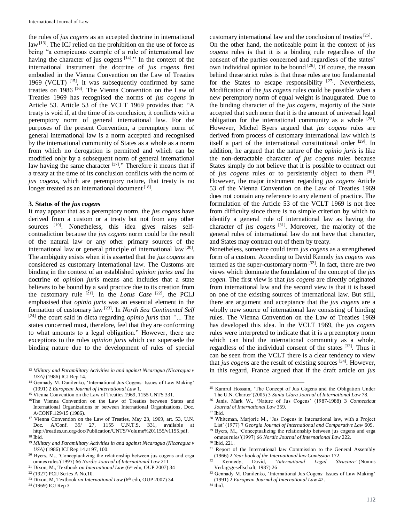the rules of *jus cogens* as an accepted doctrine in international  $law<sup>[13]</sup>$ . The ICJ relied on the prohibition on the use of force as being "a conspicuous example of a rule of international law having the character of jus cogens  $[14]$ ." In the context of the international instrument the doctrine of *jus cogens* first embodied in the Vienna Convention on the Law of Treaties 1969 (VCLT)  $[15]$ , it was subsequently confirmed by same treaties on 1986 [16] . The Vienna Convention on the Law of Treaties 1969 has recognised the norms of *jus cogens* in Article 53. Article 53 of the VCLT 1969 provides that: "A treaty is void if, at the time of its conclusion, it conflicts with a peremptory norm of general international law. For the purposes of the present Convention, a peremptory norm of general international law is a norm accepted and recognised by the international community of States as a whole as a norm from which no derogation is permitted and which can be modified only by a subsequent norm of general international law having the same character [17]." Therefore it means that if a treaty at the time of its conclusion conflicts with the norm of *jus cogens,* which are peremptory nature, that treaty is no longer treated as an international document<sup>[18]</sup>.

#### **3. Status of the** *jus cogens*

It may appear that as a peremptory norm, the *jus cogens* have derived from a custom or a treaty but not from any other sources [19]. Nonetheless, this idea gives raises selfcontradiction because the *jus cogens* norm could be the result of the natural law or any other primary sources of the international law or general principle of international law [20]. The ambiguity exists when it is asserted that the *jus cogens* are considered as customary international law. The Customs are binding in the context of an established *opinion juries and* the doctrine of *opinion juris* means and includes that a state believes to be bound by a said practice due to its creation from the customary rule  $^{[21]}$ . In the *Lotus Case*  $^{[22]}$ , the PCLJ emphasised that *opinio juris* was an essential element in the formation of customary law [23] . In *North Sea Continental Self* [24] the court said in dicta regarding *opinio juris* that *"…* The states concerned must, therefore, feel that they are conforming to what amounts to a legal obligation." However, there are exceptions to the rules *opinion juris* which can supersede the binding nature due to the development of rules of special

 $\overline{a}$ 

customary international law and the conclusion of treaties<sup>[25]</sup>. On the other hand, the noticeable point in the context of *jus cogens* rules is that it is a binding rule regardless of the consent of the parties concerned and regardless of the states' own individual opinion to be bound <sup>[26]</sup>. Of course, the reason behind these strict rules is that these rules are too fundamental for the States to escape responsibility  $[27]$ . Nevertheless, Modification of the *jus cogens* rules could be possible when a new peremptory norm of equal weight is inaugurated. Due to the binding character of the *jus cogens,* majority of the State accepted that such norm that it is the amount of universal legal obligation for the international community as a whole [28]. However, Michel Byers argued that *jus cogens* rules are derived from process of customary international law which is itself a part of the international constitutional order <sup>[29]</sup>. In addition, he argued that the nature of the *opinio juris* is like the non-detractable character *of jus cogens* rules because States simply do not believe that it is possible to contract out of *jus cogens* rules or to persistently object to them [30]. However, the major instrument regarding *jus cogens* Article 53 of the Vienna Convention on the Law of Treaties 1969 does not contain any reference to any element of practice. The formulation of the Article 53 of the VCLT 1969 is not free from difficulty since there is no simple criterion by which to identify a general rule of international law as having the character of *jus cogens* [31] . Moreover, the majority of the general rules of international law do not have that character, and States may contract out of them by treaty.

Nonetheless, someone could term *jus cogens* as a strengthened form of a custom. According to David Kenndy *jus cogens* was termed as the super-customary norm<sup>[32]</sup>. In fact, there are two views which dominate the foundation of the concept of the *jus cogen.* The first view is that *jus cogens* are directly originated from international law and the second view is that it is based on one of the existing sources of international law. But still, there are argument and acceptance that the *jus cogens* are a wholly new source of international law consisting of binding rules. The Vienna Convention on the Law of Treaties 1969 has developed this idea. In the VCLT 1969, the *jus cogens* rules were interpreted to indicate that it is a preemptory norm which can bind the international community as a whole, regardless of the individual consent of the states [33]. Thus it can be seen from the VCLT there is a clear tendency to view that *jus cogens* are the result of existing sources<sup>[34]</sup>. However, in this regard, France argued that if the draft article on *jus* 

 $\overline{\phantom{a}}$ 

<sup>31</sup> Report of the International law Commission to the General Assembly (1966) 2 *Year book of the International law Comission* 172.

<sup>13</sup> *Military and Paramilitary Activities in and against Nicaragua (Nicaragua v USA)* (1986) ICJ Rep 14.

<sup>&</sup>lt;sup>14</sup> Gennady M. Danilenko, 'International Jus Cogens: Issues of Law Making' (1991) 2 *European Journal of International Law* 1.

<sup>&</sup>lt;sup>15</sup> Vienna Convention on the Law of Treaties, 1969, 1155 UNTS 331.

<sup>16</sup>The Vienna Convention on the Law of Treaties between States and International Organizations or between International Organizations, Doc. A/CONF.129/15 (1986).

<sup>&</sup>lt;sup>17</sup> Vienna Convention on the Law of Treaties, May 23, 1969, art. 53, U.N. Doc. A/Conf. 39/ 27, 1155 U.N.T.S. 331, available at http://treaties.un.org/doc/Publication/UNTS/Volume%201155/v1155.pdf.  $^{18}$  Ibid.

<sup>19</sup> *Military and Paramilitary Activities in and against Nicaragua (Nicaragua v USA)* (1986) ICJ Rep 14 at 97, 100.

<sup>20</sup> Byers, M., 'Conceptualizing the relationship between jus cogens and erga omnes rules'(1997) 66 *Nordic Journal of International Law* 211

<sup>&</sup>lt;sup>21</sup> Dixon, M., Textbook *on International Law* (6<sup>th</sup> edn, OUP 2007) 34

<sup>22</sup> (1927) PCIJ Series A No.10.

<sup>&</sup>lt;sup>23</sup> Dixon, M, Textbook *on International Law* (6<sup>th</sup> edn, OUP 2007) 34

<sup>24</sup> (1969) ICJ Rep 3

<sup>25</sup> Kamrul Hossain, 'The Concept of Jus Cogens and the Obligation Under The U.N. Charter'(2005) 3 *Santa Clara Journal of International Law* 78.

<sup>26</sup> Janis, Mark W., 'Nature of Jus Cogens' (1987-1988) 3 *Connecticut Journal of International Law* 359.

<sup>27</sup> Ibid.

<sup>28</sup> Whiteman, Marjorie M., 'Jus Cogens in International law, with a Project List' (1977) 7 *Georgia Journal of International and Comparative Law* 609.

<sup>&</sup>lt;sup>29</sup> Byers, M., 'Conceptualizing the relationship between jus cogens and erga omnes rules'(1997) 66 *Nordic Journal of International Law* 222.

<sup>30</sup> Ibid, 221.

<sup>32</sup> Kennedy, David, '*International Legal Structure'* (Nomos Verlagsgesellschaft, 1987) 26

<sup>&</sup>lt;sup>33</sup> Gennady M. Danilenko, 'International Jus Cogens: Issues of Law Making' (1991) 2 *European Journal of International Law* 42.

 $^{\rm 34}$  Ibid.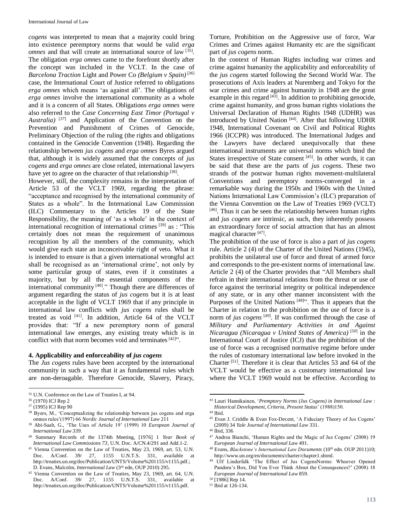*cogens* was interpreted to mean that a majority could bring into existence peremptory norms that would be valid *erga omnes* and that will create an international source of law [35]. The obligation *erga omnes* came to the forefront shortly after the concept was included in the VCLT. In the case of *Barcelona Traction* Light and Power Co *(Belgium v Spain)* [*36*] case, the International Court of Justice referred to obligations *erga omnes* which means 'as against all'. The obligations of *erga omnes* involve the international community as a whole and it is a concern of all States. Obligations *erga omnes* were also referred to the *Case Concerning East Timor (Portugal v Australia)* [*37*] and Application of the Convention on the Prevention and Punishment of Crimes of Genocide, Preliminary Objection of the ruling (the rights and obligations contained in the Genocide Convention (1948). Regarding the relationship between *jus cogens* and *erga omnes* Byres argued that, although it is widely assumed that the concepts of *jus cogens* and *erga omnes* are close related, international lawyers have yet to agree on the character of that relationship [38].

However, still, the complexity remains in the interpretation of Article 53 of the VCLT 1969, regarding the phrase: "acceptance and recognised by the international community of States as a whole". In the International Law Commission (ILC) Commentary to the Articles 19 of the State Responsibility, the meaning of 'as a whole' in the context of international recognition of international crimes<sup>[39]</sup> as : "This certainly does not mean the requirement of unanimous recognition by all the members of the community, which would give each state an inconceivable right of veto. What it is intended to ensure is that a given international wrongful act shall be recognised as an 'international crime', not only by some particular group of states, even if it constitutes a majority, but by all the essential components of the international community [40]." Though there are differences of argument regarding the status of *jus cogens* but it is at least acceptable in the light of VCLT 1969 that if any principle in international law conflicts with *jus cogens* rules shall be treated as void [41] . In addition, Article 64 of the VCLT provides that: "If a new peremptory norm of general international law emerges, any existing treaty which is in conflict with that norm becomes void and terminates [42]".

### **4. Applicability and enforceability of** *jus cogens*

The *Jus cogens* rules have been accepted by the international community in such a way that it as fundamental rules which are non-deroagable. Therefore Genocide, Slavery, Piracy, Torture, Prohibition on the Aggressive use of force, War Crimes and Crimes against Humanity etc are the significant part of *jus cogens* norm.

In the context of Human Rights including war crimes and crime against humanity the applicability and enforceability of the *jus cogens* started following the Second World War. The prosecutions of Axis leaders at Nuremberg and Tokyo for the war crimes and crime against humanity in 1948 are the great example in this regard  $[43]$ . In addition to prohibiting genocide, crime against humanity, and gross human rights violations the Universal Declaration of Human Rights 1948 (UDHR) was introduced by United Nation<sup>[44]</sup>. After that following UDHR 1948, International Covenant on Civil and Political Rights 1966 (ICCPR) was introduced. The International Judges and the Lawyers have declared unequivocally that these international instruments are universal norms which bind the States irrespective of State consent [45]. In other words, it can be said that these are the parts of *jus cogens*. These two strands of the postwar human rights movement-multilateral Conventions and peremptory norms-converged in a remarkable way during the 1950s and 1960s with the United Nations International Law Commission's (ILC) preparation of the Vienna Convention on the Law of Treaties 1969 (VCLT) [46] . Thus it can be seen the relationship between human rights and *jus cogens* are intrinsic, as such, they inherently possess an extraordinary force of social attraction that has an almost magical character<sup>[47]</sup>.

The prohibition of the use of force is also a part of *jus cogens* rule. Article 2 (4) of the Charter of the United Nations (1945), prohibits the unilateral use of force and threat of armed force and corresponds to the pre-existent norms of international law. Article 2 (4) of the Charter provides that "All Members shall refrain in their international relations from the threat or use of force against the territorial integrity or political independence of any state, or in any other manner inconsistent with the Purposes of the United Nations<sup>[48]</sup>". Thus it appears that the Charter in relation to the prohibition on the use of force is a norm of *jus cogens* [*49*] . If was confirmed through the case of *Military and Parliamentary Activities in and Against Nicaragua (Nicaragua v United States of America)* [*50*] in the International Court of Justice (ICJ) that the prohibition of the use of force was a recognised normative regime before under the rules of customary international law before invoked in the Charter [51] . Therefore it is clear that Articles 53 and 64 of the VCLT would be effective as a customary international law where the VCLT 1969 would not be effective. According to

 $\overline{a}$ 

 $\overline{\phantom{a}}$ <sup>35</sup> U.N. Conference on the Law of Treaties I, at 94.

<sup>36</sup> (1970) ICJ Rep 2

<sup>37</sup> (1995) ICJ Rep 90

<sup>&</sup>lt;sup>38</sup> Byers, M., 'Conceptualizing the relationship between jus cogens and erga omnes rules'(1997) 66 *Nordic Journal of International Law* 211

<sup>39</sup> Abi-Saab, G., 'The Uses of Article 19' (1999) 10 *European Journal of International Law 339.* 

<sup>40</sup> Summary Records of the 1374th Meeting, [1976] 1 *Year Book of International Law Commissions 73*, U.N. Doc. A/CN.4/291 and Add.1-2.

<sup>41</sup> Vienna Convention on the Law of Treaties, May 23, 1969, art. 53, U.N. Doc. A/Conf. 39/ 27, 1155 U.N.T.S. 331, available http://treaties.un.org/doc/Publication/UNTS/Volume%201155/v1155.pdf.; D. Evans, Malcolm, *International Law* (3rd edn, OUP 2010) 295.

<sup>42</sup> Vienna Convention on the Law of Treaties, May 23, 1969, art. 64, U.N. Doc. A/Conf. 39/ 27, 1155 U.N.T.S. 331, available http://treaties.un.org/doc/Publication/UNTS/Volume%201155/v1155.pdf.

<sup>43</sup> Lauri Hannikainen, '*Premptory Norms (Jus Cogens) in International Law : Historical Development, Criteria, Present Status*' (1988)150.

 $^{44}$  Ibid.

<sup>45</sup> Evan J. Criddle & Evan Fox-Decent, 'A Fiduciary Theory of Jus Cogens' (2009) 34 *Yale Journal of International Law* 331.

<sup>46</sup> Ibid, 336

<sup>47</sup> Andrea Bianchi, 'Human Rights and the Magic of Jus Cogens' (2008) 19 *European Journal of International Law* 491.

<sup>&</sup>lt;sup>48</sup> Evans, *Blackstone's International Law Documents* (10<sup>th</sup> edn. OUP 2011)10; http://www.un.org/en/documents/charter/chapter1.shtml.

<sup>49</sup> Ulf Linderfalk 'The Effect of Jus CogensNorms: Whoever Opened Pandora's Box, Did You Ever Think About the Consequences?' (2008) 18 *European Journal of International Law* 859.

<sup>50</sup> [1986] Rep 14.

<sup>51</sup> Ibid at 126-134.